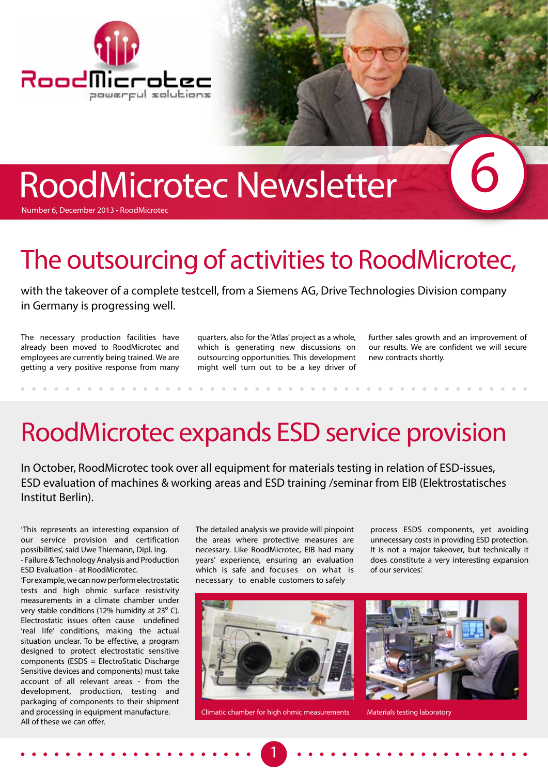

# RoodMicrotec Newsletter

Number 6, December 2013 • RoodMicrotec

# The outsourcing of activities to RoodMicrotec,

with the takeover of a complete testcell, from a Siemens AG, Drive Technologies Division company in Germany is progressing well.

The necessary production facilities have already been moved to RoodMicrotec and employees are currently being trained. We are getting a very positive response from many

quarters, also for the 'Atlas' project as a whole, which is generating new discussions on outsourcing opportunities. This development might well turn out to be a key driver of

further sales growth and an improvement of our results. We are confident we will secure new contracts shortly.

6

# RoodMicrotec expands ESD service provision

In October, RoodMicrotec took over all equipment for materials testing in relation of ESD-issues, ESD evaluation of machines & working areas and ESD training /seminar from EIB (Elektrostatisches Institut Berlin).

'This represents an interesting expansion of our service provision and certification possibilities', said Uwe Thiemann, Dipl. Ing. - Failure & Technology Analysis and Production

ESD Evaluation - at RoodMicrotec. 'For example, we can now perform electrostatic tests and high ohmic surface resistivity measurements in a climate chamber under very stable conditions (12% humidity at  $23^{\circ}$  C). Electrostatic issues often cause undefined 'real life' conditions, making the actual situation unclear. To be effective, a program designed to protect electrostatic sensitive components (ESDS = ElectroStatic Discharge Sensitive devices and components) must take account of all relevant areas - from the development, production, testing and packaging of components to their shipment and processing in equipment manufacture. All of these we can offer.

The detailed analysis we provide will pinpoint the areas where protective measures are necessary. Like RoodMicrotec, EIB had many years' experience, ensuring an evaluation which is safe and focuses on what is necessary to enable customers to safely

process ESDS components, yet avoiding unnecessary costs in providing ESD protection. It is not a major takeover, but technically it does constitute a very interesting expansion of our services.'



Climatic chamber for high ohmic measurements Materials testing laboratory

1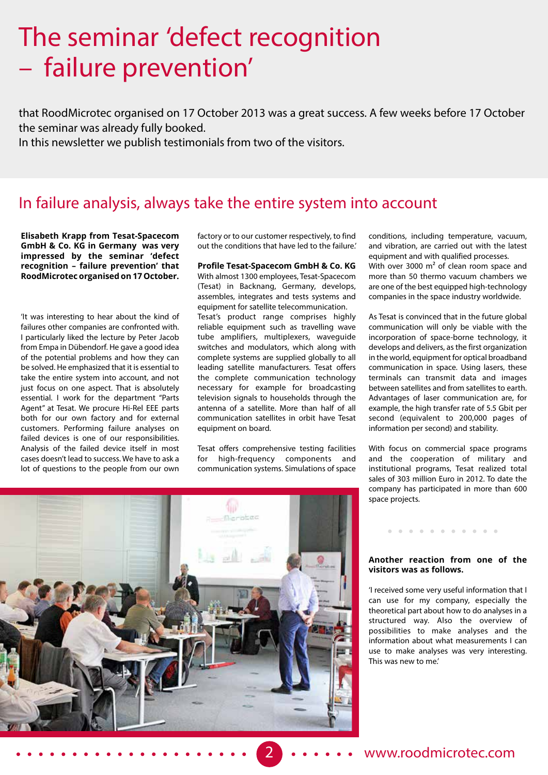### The seminar 'defect recognition – failure prevention'

that RoodMicrotec organised on 17 October 2013 was a great success. A few weeks before 17 October the seminar was already fully booked.

In this newsletter we publish testimonials from two of the visitors.

#### In failure analysis, always take the entire system into account

**Elisabeth Krapp from Tesat-Spacecom GmbH & Co. KG in Germany was very impressed by the seminar 'defect recognition – failure prevention' that RoodMicrotec organised on 17 October.**

'It was interesting to hear about the kind of failures other companies are confronted with. I particularly liked the lecture by Peter Jacob from Empa in Dübendorf. He gave a good idea of the potential problems and how they can be solved. He emphasized that it is essential to take the entire system into account, and not just focus on one aspect. That is absolutely essential. I work for the department "Parts Agent" at Tesat. We procure Hi-Rel EEE parts both for our own factory and for external customers. Performing failure analyses on failed devices is one of our responsibilities. Analysis of the failed device itself in most cases doesn't lead to success. We have to ask a lot of questions to the people from our own

factory or to our customer respectively, to find out the conditions that have led to the failure.'

**Profile Tesat-Spacecom GmbH & Co. KG** With almost 1300 employees, Tesat-Spacecom (Tesat) in Backnang, Germany, develops, assembles, integrates and tests systems and equipment for satellite telecommunication.

Tesat's product range comprises highly reliable equipment such as travelling wave tube amplifiers, multiplexers, waveguide switches and modulators, which along with complete systems are supplied globally to all leading satellite manufacturers. Tesat offers the complete communication technology necessary for example for broadcasting television signals to households through the antenna of a satellite. More than half of all communication satellites in orbit have Tesat equipment on board.

Tesat offers comprehensive testing facilities for high-frequency components and communication systems. Simulations of space conditions, including temperature, vacuum, and vibration, are carried out with the latest equipment and with qualified processes. With over 3000 m<sup>2</sup> of clean room space and more than 50 thermo vacuum chambers we are one of the best equipped high-technology

companies in the space industry worldwide.

As Tesat is convinced that in the future global communication will only be viable with the incorporation of space-borne technology, it develops and delivers, as the first organization in the world, equipment for optical broadband communication in space. Using lasers, these terminals can transmit data and images between satellites and from satellites to earth. Advantages of laser communication are, for example, the high transfer rate of 5.5 Gbit per second (equivalent to 200,000 pages of information per second) and stability.

With focus on commercial space programs and the cooperation of military and institutional programs, Tesat realized total sales of 303 million Euro in 2012. To date the company has participated in more than 600 space projects.



**Another reaction from one of the visitors was as follows.**

. . . . . . . . .

'I received some very useful information that I can use for my company, especially the theoretical part about how to do analyses in a structured way. Also the overview of possibilities to make analyses and the information about what measurements I can use to make analyses was very interesting. This was new to me.'